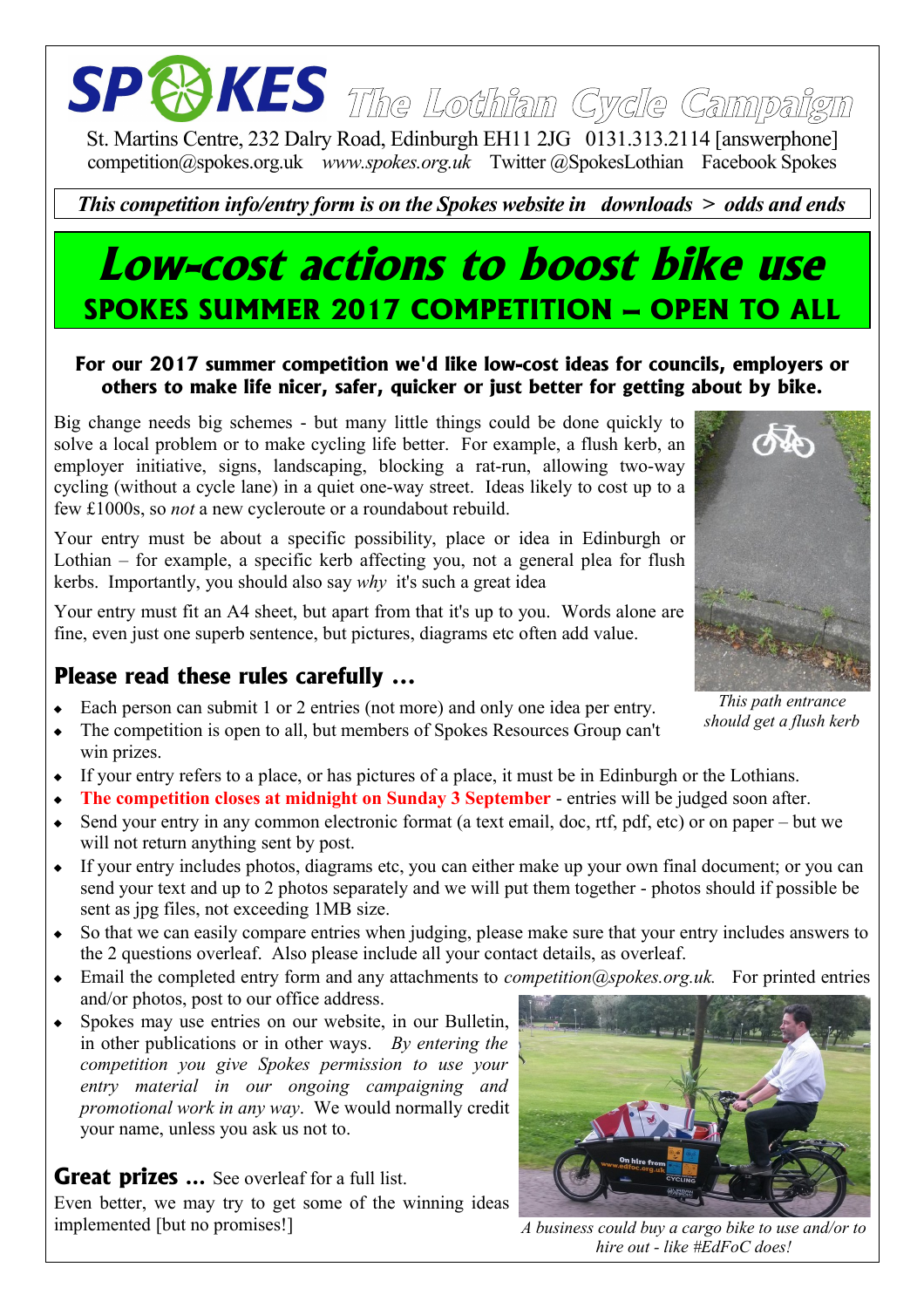# **The Lothian Cycle Campaign**

St. Martins Centre, 232 Dalry Road, Edinburgh EH11 2JG 0131.313.2114 [answerphone] competition@spokes.org.uk *www.spokes.org.uk* Twitter @SpokesLothian Facebook Spokes

#### *This competition info/entry form is on the Spokes website in downloads > odds and ends*

### **Low-cost actions to boost bike use SPOKES SUMMER 2017 COMPETITION – OPEN TO ALL**

#### **For our 2017 summer competition we'd like low-cost ideas for councils, employers or others to make life nicer, safer, quicker or just better for getting about by bike.**

Big change needs big schemes - but many little things could be done quickly to solve a local problem or to make cycling life better. For example, a flush kerb, an employer initiative, signs, landscaping, blocking a rat-run, allowing two-way cycling (without a cycle lane) in a quiet one-way street. Ideas likely to cost up to a few £1000s, so *not* a new cycleroute or a roundabout rebuild.

Your entry must be about a specific possibility, place or idea in Edinburgh or Lothian – for example, a specific kerb affecting you, not a general plea for flush kerbs. Importantly, you should also say *why* it's such a great idea

Your entry must fit an A4 sheet, but apart from that it's up to you. Words alone are fine, even just one superb sentence, but pictures, diagrams etc often add value.

#### **Please read these rules carefully ...**

- Each person can submit 1 or 2 entries (not more) and only one idea per entry.
- The competition is open to all, but members of Spokes Resources Group can't
- win prizes. If your entry refers to a place, or has pictures of a place, it must be in Edinburgh or the Lothians.
- **The competition closes at midnight on Sunday 3 September** entries will be judged soon after.
- Send your entry in any common electronic format (a text email, doc, rtf, pdf, etc) or on paper but we will not return anything sent by post.
- If your entry includes photos, diagrams etc, you can either make up your own final document; or you can send your text and up to 2 photos separately and we will put them together - photos should if possible be sent as jpg files, not exceeding 1MB size.
- So that we can easily compare entries when judging, please make sure that your entry includes answers to the 2 questions overleaf. Also please include all your contact details, as overleaf.
- Email the completed entry form and any attachments to *competition@spokes.org.uk.* For printed entries and/or photos, post to our office address.
- Spokes may use entries on our website, in our Bulletin, in other publications or in other ways. *By entering the competition you give Spokes permission to use your entry material in our ongoing campaigning and promotional work in any way*. We would normally credit your name, unless you ask us not to.

#### **Great prizes** ... See overleaf for a full list.

Even better, we may try to get some of the winning ideas implemented [but no promises!]



*A business could buy a cargo bike to use and/or to hire out - like #EdFoC does!*



*This path entrance should get a flush kerb*